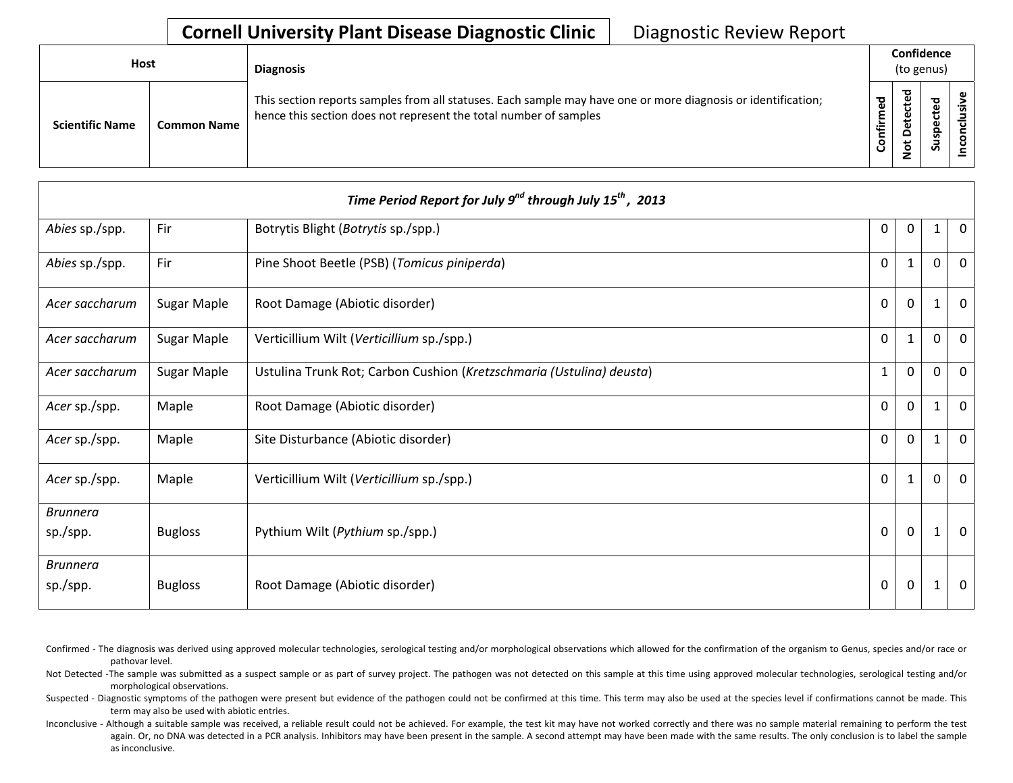| Host                   |                    | <b>Diagnosis</b>                                                                                                                                                                   |                  | Confidence<br>(to genus)        |                     |  |
|------------------------|--------------------|------------------------------------------------------------------------------------------------------------------------------------------------------------------------------------|------------------|---------------------------------|---------------------|--|
| <b>Scientific Name</b> | <b>Common Name</b> | This section reports samples from all statuses. Each sample may have one or more diagnosis or identification;<br>hence this section does not represent the total number of samples | ဥ<br>Ě<br>onfiri | ठ<br>ω<br>ى<br>≏<br>پ<br>۰<br>– | ठ<br>≖<br>ဒ္ဓ<br>చె |  |

|                             |                | Time Period Report for July 9 <sup>nd</sup> through July 15 <sup>th</sup> , 2013 |              |              |              |                |
|-----------------------------|----------------|----------------------------------------------------------------------------------|--------------|--------------|--------------|----------------|
| Abies sp./spp.              | Fir            | Botrytis Blight (Botrytis sp./spp.)                                              | 0            | $\Omega$     | $\mathbf{1}$ | $\overline{0}$ |
| Abies sp./spp.              | Fir            | Pine Shoot Beetle (PSB) (Tomicus piniperda)                                      | $\Omega$     | $\mathbf{1}$ | $\Omega$     | $\mathbf{0}$   |
| Acer saccharum              | Sugar Maple    | Root Damage (Abiotic disorder)                                                   | $\mathbf 0$  | $\Omega$     | 1            | $\mathbf 0$    |
| Acer saccharum              | Sugar Maple    | Verticillium Wilt (Verticillium sp./spp.)                                        | $\mathbf 0$  | 1            | $\Omega$     | $\overline{0}$ |
| Acer saccharum              | Sugar Maple    | Ustulina Trunk Rot; Carbon Cushion (Kretzschmaria (Ustulina) deusta)             | $\mathbf{1}$ | $\Omega$     | 0            | $\mathbf 0$    |
| Acer sp./spp.               | Maple          | Root Damage (Abiotic disorder)                                                   | $\mathbf 0$  | $\Omega$     | 1            | $\mathbf 0$    |
| Acer sp./spp.               | Maple          | Site Disturbance (Abiotic disorder)                                              | $\mathbf{0}$ | $\mathbf{0}$ | 1            | $\mathbf 0$    |
| Acer sp./spp.               | Maple          | Verticillium Wilt (Verticillium sp./spp.)                                        | $\mathbf{0}$ | 1            | 0            | $\overline{0}$ |
| <b>Brunnera</b>             |                |                                                                                  |              |              |              |                |
| sp./spp.                    | <b>Bugloss</b> | Pythium Wilt (Pythium sp./spp.)                                                  | $\mathbf 0$  | $\mathbf{0}$ | 1            | $\overline{0}$ |
| <b>Brunnera</b><br>sp./spp. | <b>Bugloss</b> | Root Damage (Abiotic disorder)                                                   | $\mathbf 0$  | $\mathbf 0$  |              | $\mathbf 0$    |

- Confirmed The diagnosis was derived using approved molecular technologies, serological testing and/or morphological observations which allowed for the confirmation of the organism to Genus, species and/or race or pathovar level.
- Not Detected -The sample was submitted as a suspect sample or as part of survey project. The pathogen was not detected on this sample at this time using approved molecular technologies, serological testing and/or morphological observations.
- Suspected Diagnostic symptoms of the pathogen were present but evidence of the pathogen could not be confirmed at this time. This term may also be used at the species level if confirmations cannot be made. This term may also be used with abiotic entries.
- Inconclusive Although a suitable sample was received, a reliable result could not be achieved. For example, the test kit may have not worked correctly and there was no sample material remaining to perform the test again. Or, no DNA was detected in a PCR analysis. Inhibitors may have been present in the sample. A second attempt may have been made with the same results. The only conclusion is to label the sample as inconclusive.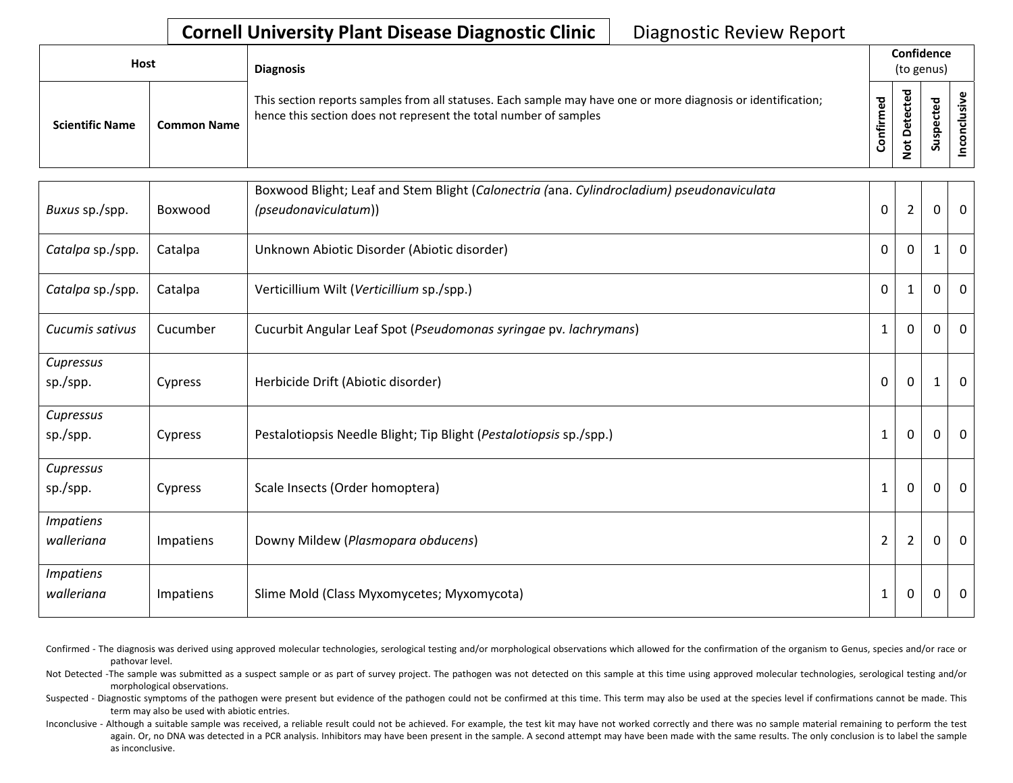| <b>Host</b>            |                    | <b>Diagnosis</b>                                                                                                                                                                   | Confidence<br>(to genus) |                                              |                          |  |
|------------------------|--------------------|------------------------------------------------------------------------------------------------------------------------------------------------------------------------------------|--------------------------|----------------------------------------------|--------------------------|--|
| <b>Scientific Name</b> | <b>Common Name</b> | This section reports samples from all statuses. Each sample may have one or more diagnosis or identification;<br>hence this section does not represent the total number of samples | ᅙ<br>Ē<br>onfir<br>Ū     | ᅙ<br>cte<br>ீ<br>ω<br>۵<br>ى<br>$\mathbf{S}$ | ਠ<br>உ<br>ن<br>င္ဘာ<br>S |  |

| Buxus sp./spp.                 | Boxwood   | Boxwood Blight; Leaf and Stem Blight (Calonectria (ana. Cylindrocladium) pseudonaviculata<br>(pseudonaviculatum)) | $\Omega$       | $\overline{2}$ | $\overline{0}$ | $\overline{0}$ |
|--------------------------------|-----------|-------------------------------------------------------------------------------------------------------------------|----------------|----------------|----------------|----------------|
| Catalpa sp./spp.               | Catalpa   | Unknown Abiotic Disorder (Abiotic disorder)                                                                       | 0              | $\mathbf 0$    | $\mathbf{1}$   | $\Omega$       |
| Catalpa sp./spp.               | Catalpa   | Verticillium Wilt (Verticillium sp./spp.)                                                                         | $\Omega$       |                | 0              | $\mathbf 0$    |
| Cucumis sativus                | Cucumber  | Cucurbit Angular Leaf Spot (Pseudomonas syringae pv. lachrymans)                                                  | 1              | $\mathbf 0$    | 0              | 0              |
| Cupressus<br>sp./spp.          | Cypress   | Herbicide Drift (Abiotic disorder)                                                                                | 0              | $\mathbf 0$    | $\mathbf{1}$   | $\overline{0}$ |
| Cupressus<br>sp./spp.          | Cypress   | Pestalotiopsis Needle Blight; Tip Blight (Pestalotiopsis sp./spp.)                                                | 1              | $\mathbf 0$    | 0              | $\overline{0}$ |
| Cupressus<br>sp./spp.          | Cypress   | Scale Insects (Order homoptera)                                                                                   | 1              | $\mathbf 0$    | 0              | $\mathbf 0$    |
| <b>Impatiens</b><br>walleriana | Impatiens | Downy Mildew (Plasmopara obducens)                                                                                | $\overline{2}$ | $\overline{2}$ | 0              | $\overline{0}$ |
| <b>Impatiens</b><br>walleriana | Impatiens | Slime Mold (Class Myxomycetes; Myxomycota)                                                                        | 1              | $\mathbf 0$    | 0              | $\overline{0}$ |

Confirmed - The diagnosis was derived using approved molecular technologies, serological testing and/or morphological observations which allowed for the confirmation of the organism to Genus, species and/or race or pathovar level.

Not Detected -The sample was submitted as a suspect sample or as part of survey project. The pathogen was not detected on this sample at this time using approved molecular technologies, serological testing and/or morphological observations.

Suspected - Diagnostic symptoms of the pathogen were present but evidence of the pathogen could not be confirmed at this time. This term may also be used at the species level if confirmations cannot be made. This term may also be used with abiotic entries.

Inconclusive - Although a suitable sample was received, a reliable result could not be achieved. For example, the test kit may have not worked correctly and there was no sample material remaining to perform the test again. Or, no DNA was detected in a PCR analysis. Inhibitors may have been present in the sample. A second attempt may have been made with the same results. The only conclusion is to label the sample as inconclusive.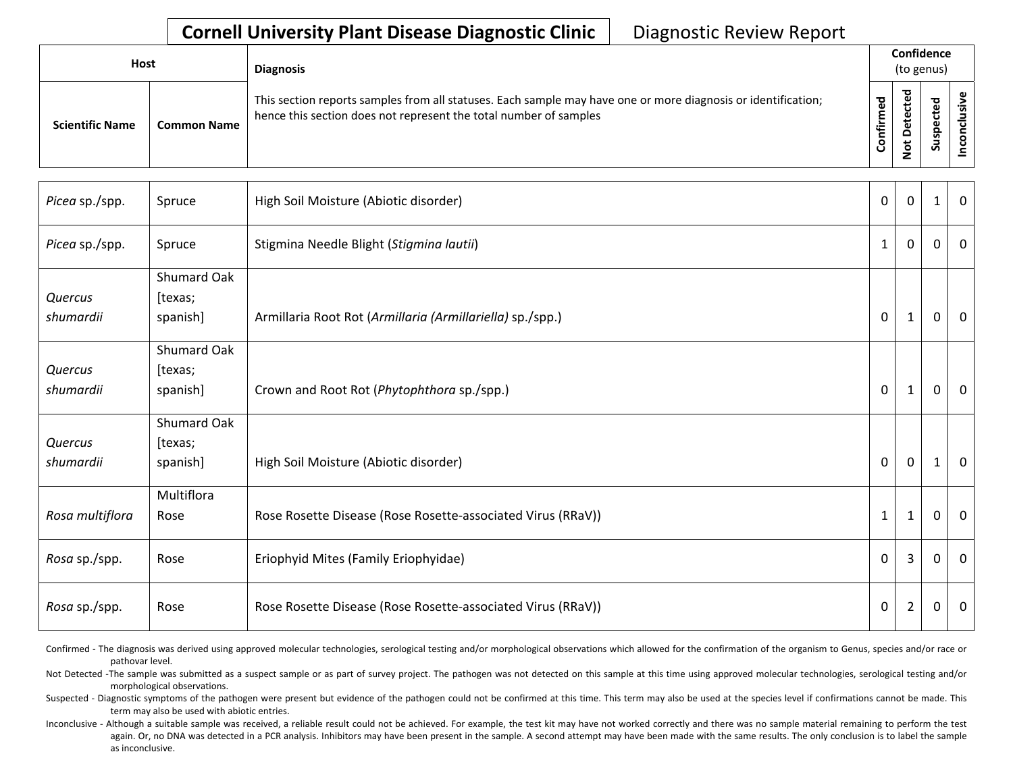| <b>Host</b>            |                    | <b>Diagnosis</b>                                                                                                                                                                   |                    | Confidence<br>(to genus)                       |             |  |
|------------------------|--------------------|------------------------------------------------------------------------------------------------------------------------------------------------------------------------------------|--------------------|------------------------------------------------|-------------|--|
| <b>Scientific Name</b> | <b>Common Name</b> | This section reports samples from all statuses. Each sample may have one or more diagnosis or identification;<br>hence this section does not represent the total number of samples | ठ<br><b>onfirm</b> | $\overline{\phantom{a}}$<br>⊷<br>ى<br><u>۽</u> | ъ<br>൦<br>S |  |

| Picea sp./spp.  | Spruce             | High Soil Moisture (Abiotic disorder)                       | $\mathbf 0$  | $\Omega$       | $\mathbf 1$ | $\Omega$     |
|-----------------|--------------------|-------------------------------------------------------------|--------------|----------------|-------------|--------------|
| Picea sp./spp.  | Spruce             | Stigmina Needle Blight (Stigmina lautii)                    | $\mathbf{1}$ | 0              | 0           | 0            |
|                 | <b>Shumard Oak</b> |                                                             |              |                |             |              |
| Quercus         | [texas;            |                                                             |              |                |             |              |
| shumardii       | spanish]           | Armillaria Root Rot (Armillaria (Armillariella) sp./spp.)   | 0            | 1              | 0           | $\Omega$     |
|                 | Shumard Oak        |                                                             |              |                |             |              |
| Quercus         | [texas;            |                                                             |              |                |             |              |
| shumardii       | spanish]           | Crown and Root Rot (Phytophthora sp./spp.)                  | $\mathbf{0}$ | 1              | 0           | $\mathbf{0}$ |
|                 | Shumard Oak        |                                                             |              |                |             |              |
| Quercus         | [texas;            |                                                             |              |                |             |              |
| shumardii       | spanish]           | High Soil Moisture (Abiotic disorder)                       | 0            | 0              | 1           | $\Omega$     |
|                 | Multiflora         |                                                             |              |                |             |              |
| Rosa multiflora | Rose               | Rose Rosette Disease (Rose Rosette-associated Virus (RRaV)) | $\mathbf{1}$ | 1              | 0           | $\mathbf{0}$ |
| Rosa sp./spp.   | Rose               | Eriophyid Mites (Family Eriophyidae)                        | $\mathbf{0}$ | 3              | 0           | $\mathbf{0}$ |
| Rosa sp./spp.   | Rose               | Rose Rosette Disease (Rose Rosette-associated Virus (RRaV)) | 0            | $\overline{2}$ | 0           | $\Omega$     |

Confirmed - The diagnosis was derived using approved molecular technologies, serological testing and/or morphological observations which allowed for the confirmation of the organism to Genus, species and/or race or pathovar level.

Not Detected -The sample was submitted as a suspect sample or as part of survey project. The pathogen was not detected on this sample at this time using approved molecular technologies, serological testing and/or morphological observations.

Suspected - Diagnostic symptoms of the pathogen were present but evidence of the pathogen could not be confirmed at this time. This term may also be used at the species level if confirmations cannot be made. This term may also be used with abiotic entries.

Inconclusive - Although a suitable sample was received, a reliable result could not be achieved. For example, the test kit may have not worked correctly and there was no sample material remaining to perform the test again. Or, no DNA was detected in a PCR analysis. Inhibitors may have been present in the sample. A second attempt may have been made with the same results. The only conclusion is to label the sample as inconclusive.